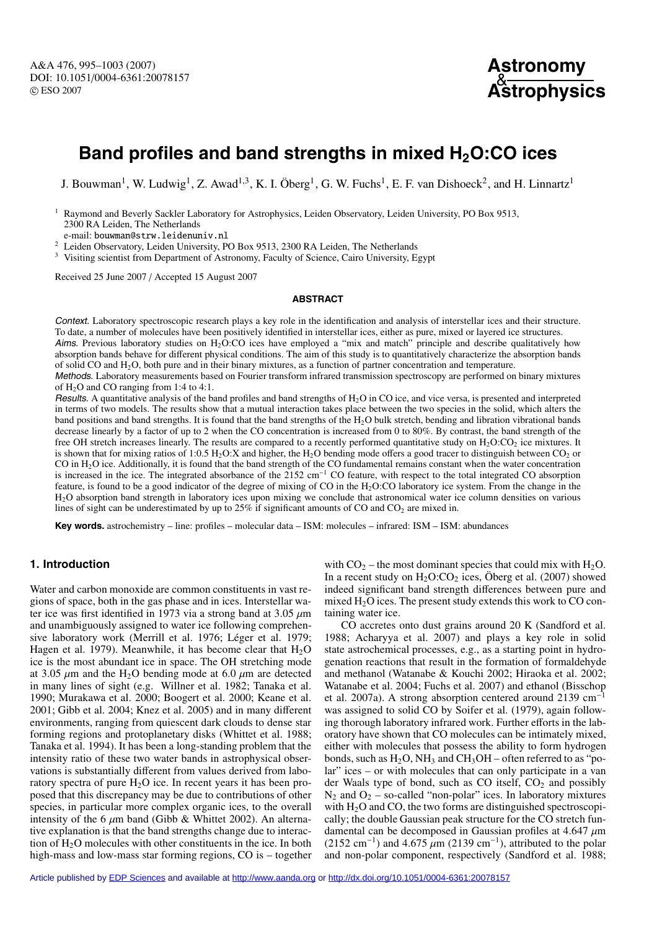A&A 476, 995–1003 (2007) DOI: 10.1051/0004-6361:20078157 c ESO 2007



# Band profiles and band strengths in mixed H<sub>2</sub>O:CO ices

J. Bouwman<sup>1</sup>, W. Ludwig<sup>1</sup>, Z. Awad<sup>1,3</sup>, K. I. Öberg<sup>1</sup>, G. W. Fuchs<sup>1</sup>, E. F. van Dishoeck<sup>2</sup>, and H. Linnartz<sup>1</sup>

<sup>1</sup> Raymond and Beverly Sackler Laboratory for Astrophysics, Leiden Observatory, Leiden University, PO Box 9513, 2300 RA Leiden, The Netherlands

e-mail: bouwman@strw.leidenuniv.nl

<sup>2</sup> Leiden Observatory, Leiden University, PO Box 9513, 2300 RA Leiden, The Netherlands

<sup>3</sup> Visiting scientist from Department of Astronomy, Faculty of Science, Cairo University, Egypt

Received 25 June 2007 / Accepted 15 August 2007

#### **ABSTRACT**

Context. Laboratory spectroscopic research plays a key role in the identification and analysis of interstellar ices and their structure. To date, a number of molecules have been positively identified in interstellar ices, either as pure, mixed or layered ice structures.

Aims. Previous laboratory studies on  $H_2O:CO$  ices have employed a "mix and match" principle and describe qualitatively how absorption bands behave for different physical conditions. The aim of this study is to quantitatively characterize the absorption bands of solid CO and H2O, both pure and in their binary mixtures, as a function of partner concentration and temperature.

Methods. Laboratory measurements based on Fourier transform infrared transmission spectroscopy are performed on binary mixtures of  $H_2O$  and CO ranging from 1:4 to 4:1.

Results. A quantitative analysis of the band profiles and band strengths of  $H_2O$  in CO ice, and vice versa, is presented and interpreted in terms of two models. The results show that a mutual interaction takes place between the two species in the solid, which alters the band positions and band strengths. It is found that the band strengths of the H2O bulk stretch, bending and libration vibrational bands decrease linearly by a factor of up to 2 when the CO concentration is increased from 0 to 80%. By contrast, the band strength of the free OH stretch increases linearly. The results are compared to a recently performed quantitative study on  $H_2O:CO_2$  ice mixtures. It is shown that for mixing ratios of 1:0.5 H<sub>2</sub>O:X and higher, the H<sub>2</sub>O bending mode offers a good tracer to distinguish between CO<sub>2</sub> or CO in  $H<sub>2</sub>$ O ice. Additionally, it is found that the band strength of the CO fundamental remains constant when the water concentration is increased in the ice. The integrated absorbance of the 2152 cm−<sup>1</sup> CO feature, with respect to the total integrated CO absorption feature, is found to be a good indicator of the degree of mixing of CO in the H<sub>2</sub>O:CO laboratory ice system. From the change in the H2O absorption band strength in laboratory ices upon mixing we conclude that astronomical water ice column densities on various lines of sight can be underestimated by up to  $25\%$  if significant amounts of CO and CO<sub>2</sub> are mixed in.

**Key words.** astrochemistry – line: profiles – molecular data – ISM: molecules – infrared: ISM – ISM: abundances

# **1. Introduction**

Water and carbon monoxide are common constituents in vast regions of space, both in the gas phase and in ices. Interstellar water ice was first identified in 1973 via a strong band at  $3.05 \mu m$ and unambiguously assigned to water ice following comprehensive laboratory work (Merrill et al. 1976; Léger et al. 1979; Hagen et al. 1979). Meanwhile, it has become clear that  $H_2O$ ice is the most abundant ice in space. The OH stretching mode at 3.05  $\mu$ m and the H<sub>2</sub>O bending mode at 6.0  $\mu$ m are detected in many lines of sight (e.g. Willner et al. 1982; Tanaka et al. 1990; Murakawa et al. 2000; Boogert et al. 2000; Keane et al. 2001; Gibb et al. 2004; Knez et al. 2005) and in many different environments, ranging from quiescent dark clouds to dense star forming regions and protoplanetary disks (Whittet et al. 1988; Tanaka et al. 1994). It has been a long-standing problem that the intensity ratio of these two water bands in astrophysical observations is substantially different from values derived from laboratory spectra of pure  $H_2O$  ice. In recent years it has been proposed that this discrepancy may be due to contributions of other species, in particular more complex organic ices, to the overall intensity of the 6  $\mu$ m band (Gibb & Whittet 2002). An alternative explanation is that the band strengths change due to interaction of  $H<sub>2</sub>O$  molecules with other constituents in the ice. In both high-mass and low-mass star forming regions, CO is – together with  $CO_2$  – the most dominant species that could mix with  $H_2O$ . In a recent study on  $H_2O:CO_2$  ices, Öberg et al. (2007) showed indeed significant band strength differences between pure and mixed  $H<sub>2</sub>O$  ices. The present study extends this work to  $CO$  containing water ice.

CO accretes onto dust grains around 20 K (Sandford et al. 1988; Acharyya et al. 2007) and plays a key role in solid state astrochemical processes, e.g., as a starting point in hydrogenation reactions that result in the formation of formaldehyde and methanol (Watanabe & Kouchi 2002; Hiraoka et al. 2002; Watanabe et al. 2004; Fuchs et al. 2007) and ethanol (Bisschop et al. 2007a). A strong absorption centered around 2139 cm−<sup>1</sup> was assigned to solid CO by Soifer et al. (1979), again following thorough laboratory infrared work. Further efforts in the laboratory have shown that CO molecules can be intimately mixed, either with molecules that possess the ability to form hydrogen bonds, such as  $H_2O$ ,  $NH_3$  and  $CH_3OH$  – often referred to as "polar" ices – or with molecules that can only participate in a van der Waals type of bond, such as CO itself,  $CO<sub>2</sub>$  and possibly  $N_2$  and  $O_2$  – so-called "non-polar" ices. In laboratory mixtures with  $H_2O$  and CO, the two forms are distinguished spectroscopically; the double Gaussian peak structure for the CO stretch fundamental can be decomposed in Gaussian profiles at 4.647  $\mu$ m (2152 cm<sup>-1</sup>) and 4.675 µm (2139 cm<sup>-1</sup>), attributed to the polar and non-polar component, respectively (Sandford et al. 1988;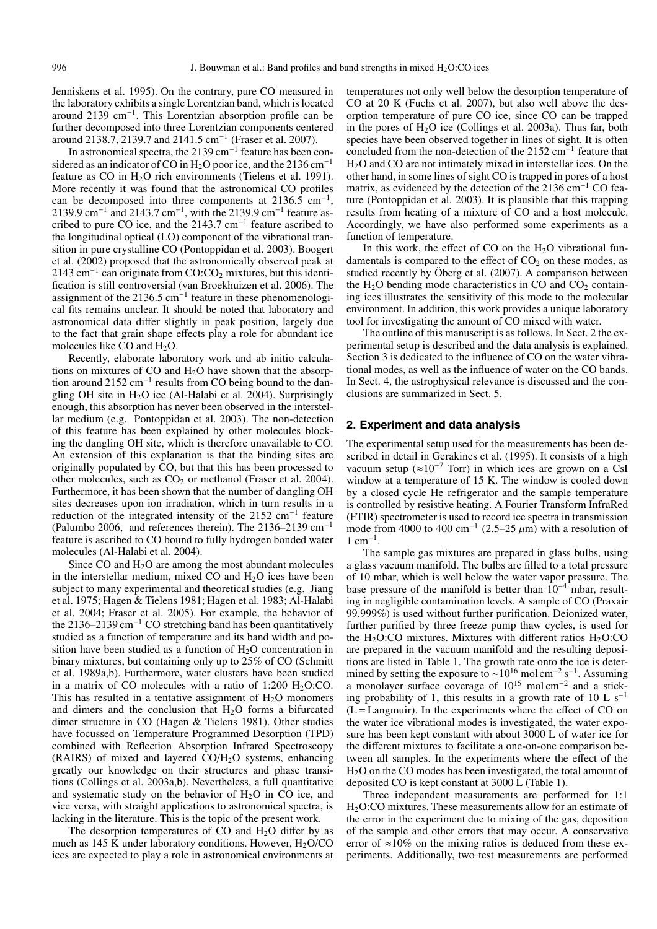Jenniskens et al. 1995). On the contrary, pure CO measured in the laboratory exhibits a single Lorentzian band, which is located around 2139 cm−1. This Lorentzian absorption profile can be further decomposed into three Lorentzian components centered around 2138.7, 2139.7 and 2141.5 cm−<sup>1</sup> (Fraser et al. 2007).

In astronomical spectra, the 2139 cm<sup>-1</sup> feature has been considered as an indicator of CO in H<sub>2</sub>O poor ice, and the 2136 cm<sup>-1</sup> feature as  $CO$  in  $H<sub>2</sub>O$  rich environments (Tielens et al. 1991). More recently it was found that the astronomical CO profiles can be decomposed into three components at  $2136.5 \text{ cm}^{-1}$ , 2139.9 cm<sup>-1</sup> and 2143.7 cm<sup>-1</sup>, with the 2139.9 cm<sup>-1</sup> feature ascribed to pure CO ice, and the 2143.7 cm−<sup>1</sup> feature ascribed to the longitudinal optical (LO) component of the vibrational transition in pure crystalline CO (Pontoppidan et al. 2003). Boogert et al. (2002) proposed that the astronomically observed peak at 2143 cm<sup>-1</sup> can originate from CO:CO<sub>2</sub> mixtures, but this identification is still controversial (van Broekhuizen et al. 2006). The assignment of the 2136.5 cm<sup>-1</sup> feature in these phenomenological fits remains unclear. It should be noted that laboratory and astronomical data differ slightly in peak position, largely due to the fact that grain shape effects play a role for abundant ice molecules like CO and  $H_2O$ .

Recently, elaborate laboratory work and ab initio calculations on mixtures of CO and  $H<sub>2</sub>O$  have shown that the absorption around 2152 cm−<sup>1</sup> results from CO being bound to the dangling OH site in H<sub>2</sub>O ice (Al-Halabi et al. 2004). Surprisingly enough, this absorption has never been observed in the interstellar medium (e.g. Pontoppidan et al. 2003). The non-detection of this feature has been explained by other molecules blocking the dangling OH site, which is therefore unavailable to CO. An extension of this explanation is that the binding sites are originally populated by CO, but that this has been processed to other molecules, such as  $CO<sub>2</sub>$  or methanol (Fraser et al. 2004). Furthermore, it has been shown that the number of dangling OH sites decreases upon ion irradiation, which in turn results in a reduction of the integrated intensity of the 2152 cm−<sup>1</sup> feature (Palumbo 2006, and references therein). The 2136–2139 cm−<sup>1</sup> feature is ascribed to CO bound to fully hydrogen bonded water molecules (Al-Halabi et al. 2004).

Since CO and  $H_2O$  are among the most abundant molecules in the interstellar medium, mixed CO and  $H<sub>2</sub>O$  ices have been subject to many experimental and theoretical studies (e.g. Jiang et al. 1975; Hagen & Tielens 1981; Hagen et al. 1983; Al-Halabi et al. 2004; Fraser et al. 2005). For example, the behavior of the 2136–2139 cm<sup>-1</sup> CO stretching band has been quantitatively studied as a function of temperature and its band width and position have been studied as a function of  $H_2O$  concentration in binary mixtures, but containing only up to 25% of CO (Schmitt et al. 1989a,b). Furthermore, water clusters have been studied in a matrix of CO molecules with a ratio of  $1:200 \text{ H}_2\text{O}$ :CO. This has resulted in a tentative assignment of  $H_2O$  monomers and dimers and the conclusion that  $H_2O$  forms a bifurcated dimer structure in CO (Hagen & Tielens 1981). Other studies have focussed on Temperature Programmed Desorption (TPD) combined with Reflection Absorption Infrared Spectroscopy (RAIRS) of mixed and layered  $CO/H<sub>2</sub>O$  systems, enhancing greatly our knowledge on their structures and phase transitions (Collings et al. 2003a,b). Nevertheless, a full quantitative and systematic study on the behavior of  $H<sub>2</sub>O$  in CO ice, and vice versa, with straight applications to astronomical spectra, is lacking in the literature. This is the topic of the present work.

The desorption temperatures of CO and  $H_2O$  differ by as much as 145 K under laboratory conditions. However,  $H<sub>2</sub>O/CO$ ices are expected to play a role in astronomical environments at temperatures not only well below the desorption temperature of CO at 20 K (Fuchs et al. 2007), but also well above the desorption temperature of pure CO ice, since CO can be trapped in the pores of  $H_2O$  ice (Collings et al. 2003a). Thus far, both species have been observed together in lines of sight. It is often concluded from the non-detection of the 2152 cm−<sup>1</sup> feature that H2O and CO are not intimately mixed in interstellar ices. On the other hand, in some lines of sight CO is trapped in pores of a host matrix, as evidenced by the detection of the 2136 cm<sup>-1</sup> CO feature (Pontoppidan et al. 2003). It is plausible that this trapping results from heating of a mixture of CO and a host molecule. Accordingly, we have also performed some experiments as a function of temperature.

In this work, the effect of CO on the  $H<sub>2</sub>O$  vibrational fundamentals is compared to the effect of  $CO<sub>2</sub>$  on these modes, as studied recently by Öberg et al. (2007). A comparison between the  $H_2O$  bending mode characteristics in CO and  $CO<sub>2</sub>$  containing ices illustrates the sensitivity of this mode to the molecular environment. In addition, this work provides a unique laboratory tool for investigating the amount of CO mixed with water.

The outline of this manuscript is as follows. In Sect. 2 the experimental setup is described and the data analysis is explained. Section 3 is dedicated to the influence of CO on the water vibrational modes, as well as the influence of water on the CO bands. In Sect. 4, the astrophysical relevance is discussed and the conclusions are summarized in Sect. 5.

#### **2. Experiment and data analysis**

The experimental setup used for the measurements has been described in detail in Gerakines et al. (1995). It consists of a high vacuum setup ( $\approx 10^{-7}$  Torr) in which ices are grown on a CsI window at a temperature of 15 K. The window is cooled down by a closed cycle He refrigerator and the sample temperature is controlled by resistive heating. A Fourier Transform InfraRed (FTIR) spectrometer is used to record ice spectra in transmission mode from 4000 to 400 cm<sup>-1</sup> (2.5–25  $\mu$ m) with a resolution of  $1 \text{ cm}^{-1}$ .

The sample gas mixtures are prepared in glass bulbs, using a glass vacuum manifold. The bulbs are filled to a total pressure of 10 mbar, which is well below the water vapor pressure. The base pressure of the manifold is better than 10−<sup>4</sup> mbar, resulting in negligible contamination levels. A sample of CO (Praxair 99.999%) is used without further purification. Deionized water, further purified by three freeze pump thaw cycles, is used for the  $H_2O:CO$  mixtures. Mixtures with different ratios  $H_2O:CO$ are prepared in the vacuum manifold and the resulting depositions are listed in Table 1. The growth rate onto the ice is determined by setting the exposure to ~10<sup>16</sup> mol cm<sup>-2</sup> s<sup>-1</sup>. Assuming a monolayer surface coverage of 10<sup>15</sup> mol cm−<sup>2</sup> and a sticking probability of 1, this results in a growth rate of 10 L s<sup>-1</sup>  $(L = Language$  Langmuir). In the experiments where the effect of CO on the water ice vibrational modes is investigated, the water exposure has been kept constant with about 3000 L of water ice for the different mixtures to facilitate a one-on-one comparison between all samples. In the experiments where the effect of the  $H<sub>2</sub>O$  on the CO modes has been investigated, the total amount of deposited CO is kept constant at 3000 L (Table 1).

Three independent measurements are performed for 1:1 H2O:CO mixtures. These measurements allow for an estimate of the error in the experiment due to mixing of the gas, deposition of the sample and other errors that may occur. A conservative error of  $\approx 10\%$  on the mixing ratios is deduced from these experiments. Additionally, two test measurements are performed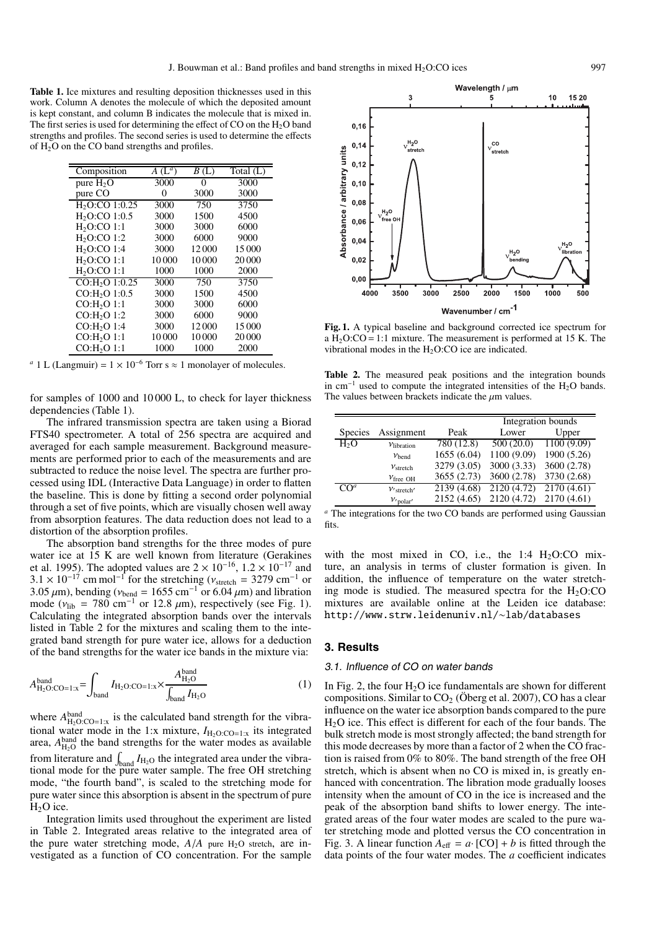**Table 1.** Ice mixtures and resulting deposition thicknesses used in this work. Column A denotes the molecule of which the deposited amount is kept constant, and column B indicates the molecule that is mixed in. The first series is used for determining the effect of CO on the  $H_2O$  band strengths and profiles. The second series is used to determine the effects of  $H_2O$  on the CO band strengths and profiles.

| Composition                | $A(L^a)$ | B(L)  | Total $(L)$ |
|----------------------------|----------|-------|-------------|
| pure $H_2O$                | 3000     | 0     | 3000        |
| pure CO                    | 0        | 3000  | 3000        |
| $H2O$ :CO 1:0.25           | 3000     | 750   | 3750        |
| $H2O$ :CO 1:0.5            | 3000     | 1500  | 4500        |
| $H2O$ :CO 1:1              | 3000     | 3000  | 6000        |
| $H2O$ :CO 1:2              | 3000     | 6000  | 9000        |
| $H2O$ :CO 1:4              | 3000     | 12000 | 15 000      |
| $H2O$ :CO 1:1              | 10000    | 10000 | 20 000      |
| $H2O$ :CO 1:1              | 1000     | 1000  | 2000        |
| CO:H <sub>2</sub> O 1:0.25 | 3000     | 750   | 3750        |
| CO:H <sub>2</sub> O 1:0.5  | 3000     | 1500  | 4500        |
| CO:H <sub>2</sub> O 1:1    | 3000     | 3000  | 6000        |
| CO:H <sub>2</sub> O 1:2    | 3000     | 6000  | 9000        |
| $CO:H2O$ 1:4               | 3000     | 12000 | 15 000      |
| CO:H <sub>2</sub> O 1:1    | 10000    | 10000 | 20 000      |
| CO:H <sub>2</sub> O 1:1    | 1000     | 1000  | 2000        |

*a* 1 L (Langmuir) =  $1 \times 10^{-6}$  Torr s ≈ 1 monolayer of molecules.

for samples of 1000 and 10 000 L, to check for layer thickness dependencies (Table 1).

The infrared transmission spectra are taken using a Biorad FTS40 spectrometer. A total of 256 spectra are acquired and averaged for each sample measurement. Background measurements are performed prior to each of the measurements and are subtracted to reduce the noise level. The spectra are further processed using IDL (Interactive Data Language) in order to flatten the baseline. This is done by fitting a second order polynomial through a set of five points, which are visually chosen well away from absorption features. The data reduction does not lead to a distortion of the absorption profiles.

The absorption band strengths for the three modes of pure water ice at 15 K are well known from literature (Gerakines et al. 1995). The adopted values are  $2 \times 10^{-16}$ ,  $1.2 \times 10^{-17}$  and  $3.1 \times 10^{-17}$  cm mol<sup>-1</sup> for the stretching ( $v_{\text{stretch}} = 3279$  cm<sup>-1</sup> or 3.05  $\mu$ m), bending ( $v_{\text{bend}} = 1655 \text{ cm}^{-1}$  or 6.04  $\mu$ m) and libration mode ( $v_{\text{lib}} = 780 \text{ cm}^{-1}$  or 12.8  $\mu$ m), respectively (see Fig. 1). Calculating the integrated absorption bands over the intervals listed in Table 2 for the mixtures and scaling them to the integrated band strength for pure water ice, allows for a deduction of the band strengths for the water ice bands in the mixture via:

$$
A_{\text{H}_2\text{O}:CO=1:x}^{\text{band}} = \int_{\text{band}} I_{\text{H}_2\text{O}:CO=1:x} \times \frac{A_{\text{H}_2\text{O}}^{\text{band}}}{\int_{\text{band}} I_{\text{H}_2\text{O}}} \tag{1}
$$

where  $A_{\text{H}_2\text{O}: \text{CO} = 1:x}^{\text{band}}$  is the calculated band strength for the vibrational water mode in the 1:x mixture,  $I_{\text{H}_2\text{O}:CO=1:x}$  its integrated area,  $A_{\text{H}_2\text{O}}^{\text{band}}$  the band strengths for the water modes as available from literature and  $\int_{\text{band}} I_{\text{H}_2\text{O}}$  the integrated area under the vibrational mode for the pure water sample. The free OH stretching mode, "the fourth band", is scaled to the stretching mode for pure water since this absorption is absent in the spectrum of pure  $H<sub>2</sub>O$  ice.

Integration limits used throughout the experiment are listed in Table 2. Integrated areas relative to the integrated area of the pure water stretching mode,  $A/A$  pure  $H_2O$  stretch, are investigated as a function of CO concentration. For the sample

Wavelength / µm 3 5  $10$ 15.20  $0, 16$  $v_{\text{stretch}}^{\text{H}_2\text{O}}$  $_{\rm co}$  $0.1$ Absorbance / arbitrary units /<br>stretch  $0, 12$  $0.10$  $0.08$  $1,0$  $0,06$  $0,04$  $H_2O$  $H<sub>2</sub>O$ *i*ihration  $0,02$  $0.00$ 3000 2500 2000 4000 3500 1500 1000  $500$ Wavenumber / cm<sup>-1</sup>

**Fig. 1.** A typical baseline and background corrected ice spectrum for a  $H<sub>2</sub>O:CO = 1:1$  mixture. The measurement is performed at 15 K. The vibrational modes in the  $H<sub>2</sub>O$ :CO ice are indicated.

**Table 2.** The measured peak positions and the integration bounds in  $cm^{-1}$  used to compute the integrated intensities of the H<sub>2</sub>O bands. The values between brackets indicate the  $\mu$ m values.

|                  |                      |             | Integration bounds |             |  |
|------------------|----------------------|-------------|--------------------|-------------|--|
| <b>Species</b>   | Assignment           | Peak        | Lower              | Upper       |  |
| H <sub>2</sub> O | $V$ libration        | 780 (12.8)  | 500(20.0)          | 1100(9.09)  |  |
|                  | $v_{\text{hend}}$    | 1655 (6.04) | 1100 (9.09)        | 1900 (5.26) |  |
|                  | V <sub>stretch</sub> | 3279 (3.05) | 3000 (3.33)        | 3600 (2.78) |  |
|                  | $v_{\text{free OH}}$ | 3655 (2.73) | 3600 (2.78)        | 3730 (2.68) |  |
| $C\Omega^a$      | $V$ stretch'         | 2139 (4.68) | 2120 (4.72)        | 2170(4.61)  |  |
|                  | $v_{\text{polar}}$   | 2152 (4.65) | 2120 (4.72)        | 2170 (4.61) |  |

*<sup>a</sup>* The integrations for the two CO bands are performed using Gaussian fits.

with the most mixed in CO, i.e., the 1:4  $H<sub>2</sub>O:CO$  mixture, an analysis in terms of cluster formation is given. In addition, the influence of temperature on the water stretching mode is studied. The measured spectra for the  $H<sub>2</sub>O:CO$ mixtures are available online at the Leiden ice database: http://www.strw.leidenuniv.nl/∼lab/databases

#### **3. Results**

#### 3.1. Influence of CO on water bands

In Fig. 2, the four  $H_2O$  ice fundamentals are shown for different compositions. Similar to  $CO<sub>2</sub>$  (Oberg et al. 2007), CO has a clear influence on the water ice absorption bands compared to the pure H2O ice. This effect is different for each of the four bands. The bulk stretch mode is most strongly affected; the band strength for this mode decreases by more than a factor of 2 when the CO fraction is raised from 0% to 80%. The band strength of the free OH stretch, which is absent when no CO is mixed in, is greatly enhanced with concentration. The libration mode gradually looses intensity when the amount of CO in the ice is increased and the peak of the absorption band shifts to lower energy. The integrated areas of the four water modes are scaled to the pure water stretching mode and plotted versus the CO concentration in Fig. 3. A linear function  $A_{\text{eff}} = a \cdot [CO] + b$  is fitted through the data points of the four water modes. The *a* coefficient indicates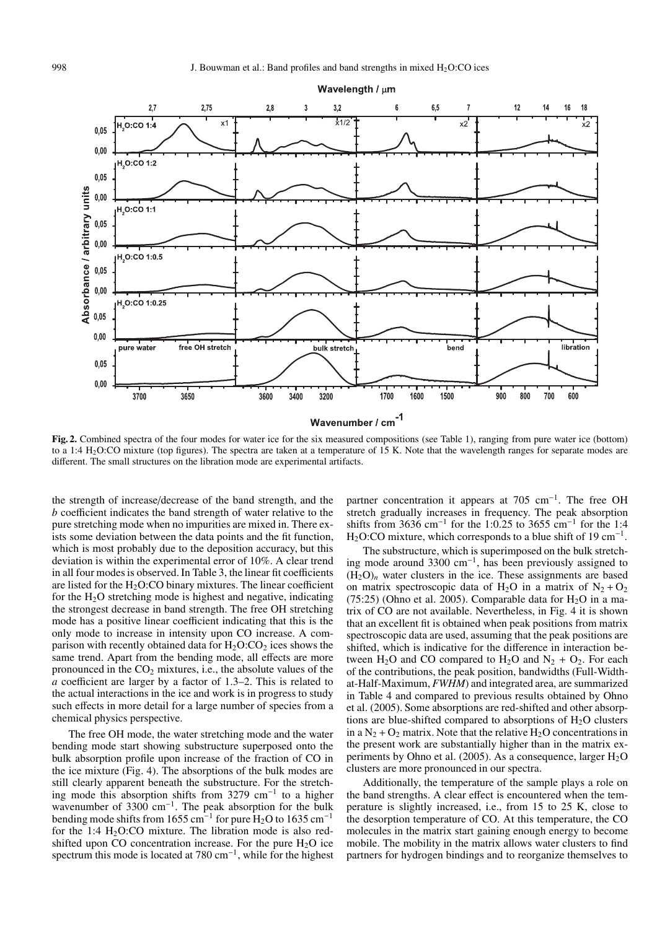

**Fig. 2.** Combined spectra of the four modes for water ice for the six measured compositions (see Table 1), ranging from pure water ice (bottom) to a 1:4 H<sub>2</sub>O:CO mixture (top figures). The spectra are taken at a temperature of 15 K. Note that the wavelength ranges for separate modes are different. The small structures on the libration mode are experimental artifacts.

the strength of increase/decrease of the band strength, and the *b* coefficient indicates the band strength of water relative to the pure stretching mode when no impurities are mixed in. There exists some deviation between the data points and the fit function, which is most probably due to the deposition accuracy, but this deviation is within the experimental error of 10%. A clear trend in all four modes is observed. In Table 3, the linear fit coefficients are listed for the  $H<sub>2</sub>O$ :CO binary mixtures. The linear coefficient for the  $H_2O$  stretching mode is highest and negative, indicating the strongest decrease in band strength. The free OH stretching mode has a positive linear coefficient indicating that this is the only mode to increase in intensity upon CO increase. A comparison with recently obtained data for  $H_2O:CO_2$  ices shows the same trend. Apart from the bending mode, all effects are more pronounced in the  $CO<sub>2</sub>$  mixtures, i.e., the absolute values of the *a* coefficient are larger by a factor of 1.3–2. This is related to the actual interactions in the ice and work is in progress to study such effects in more detail for a large number of species from a chemical physics perspective.

The free OH mode, the water stretching mode and the water bending mode start showing substructure superposed onto the bulk absorption profile upon increase of the fraction of CO in the ice mixture (Fig. 4). The absorptions of the bulk modes are still clearly apparent beneath the substructure. For the stretching mode this absorption shifts from 3279 cm−<sup>1</sup> to a higher wavenumber of 3300 cm<sup>-1</sup>. The peak absorption for the bulk bending mode shifts from 1655 cm<sup>-1</sup> for pure H<sub>2</sub>O to 1635 cm<sup>-1</sup> for the 1:4  $H<sub>2</sub>O$ :CO mixture. The libration mode is also redshifted upon CO concentration increase. For the pure  $H_2O$  ice spectrum this mode is located at  $780 \text{ cm}^{-1}$ , while for the highest partner concentration it appears at 705 cm<sup>-1</sup>. The free OH stretch gradually increases in frequency. The peak absorption shifts from 3636 cm−<sup>1</sup> for the 1:0.25 to 3655 cm−<sup>1</sup> for the 1:4 H<sub>2</sub>O:CO mixture, which corresponds to a blue shift of 19 cm<sup>-1</sup>.

The substructure, which is superimposed on the bulk stretching mode around 3300 cm−1, has been previously assigned to  $(H<sub>2</sub>O)<sub>n</sub>$  water clusters in the ice. These assignments are based on matrix spectroscopic data of H<sub>2</sub>O in a matrix of N<sub>2</sub> + O<sub>2</sub> (75:25) (Ohno et al. 2005). Comparable data for  $H_2O$  in a matrix of CO are not available. Nevertheless, in Fig. 4 it is shown that an excellent fit is obtained when peak positions from matrix spectroscopic data are used, assuming that the peak positions are shifted, which is indicative for the difference in interaction between H<sub>2</sub>O and CO compared to H<sub>2</sub>O and N<sub>2</sub> + O<sub>2</sub>. For each of the contributions, the peak position, bandwidths (Full-Widthat-Half-Maximum, *FWHM*) and integrated area, are summarized in Table 4 and compared to previous results obtained by Ohno et al. (2005). Some absorptions are red-shifted and other absorptions are blue-shifted compared to absorptions of  $H_2O$  clusters in a  $N_2 + O_2$  matrix. Note that the relative  $H_2O$  concentrations in the present work are substantially higher than in the matrix experiments by Ohno et al. (2005). As a consequence, larger H<sub>2</sub>O clusters are more pronounced in our spectra.

Additionally, the temperature of the sample plays a role on the band strengths. A clear effect is encountered when the temperature is slightly increased, i.e., from 15 to 25 K, close to the desorption temperature of CO. At this temperature, the CO molecules in the matrix start gaining enough energy to become mobile. The mobility in the matrix allows water clusters to find partners for hydrogen bindings and to reorganize themselves to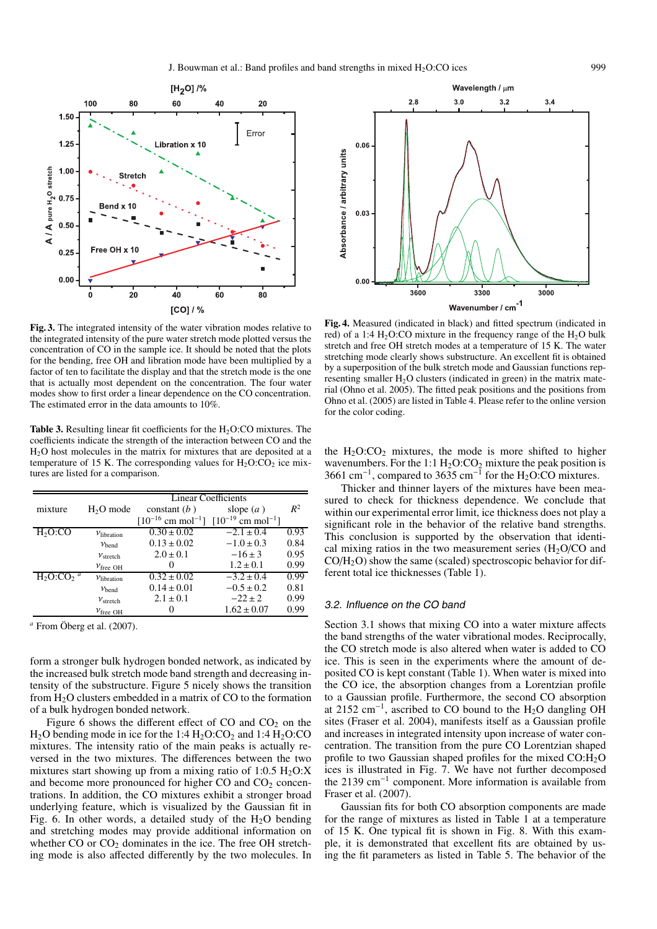

**Fig. 3.** The integrated intensity of the water vibration modes relative to the integrated intensity of the pure water stretch mode plotted versus the concentration of CO in the sample ice. It should be noted that the plots for the bending, free OH and libration mode have been multiplied by a factor of ten to facilitate the display and that the stretch mode is the one that is actually most dependent on the concentration. The four water modes show to first order a linear dependence on the CO concentration. The estimated error in the data amounts to 10%.

**Table 3.** Resulting linear fit coefficients for the  $H_2O:CO$  mixtures. The coefficients indicate the strength of the interaction between CO and the H2O host molecules in the matrix for mixtures that are deposited at a temperature of 15 K. The corresponding values for  $H_2O:CO_2$  ice mixtures are listed for a comparison.

|           |                        | <b>Linear Coefficients</b>                                            |                 |       |
|-----------|------------------------|-----------------------------------------------------------------------|-----------------|-------|
| mixture   | $H2O$ mode             | constant $(b)$                                                        | slope $(a)$     | $R^2$ |
|           |                        | $[10^{-16}$ cm mol <sup>-1</sup> ] $[10^{-19}$ cm mol <sup>-1</sup> ] |                 |       |
| $H2O$ :CO | $V$ libration          | $0.30 \pm 0.02$                                                       | $-2.1 \pm 0.4$  | 0.93  |
|           | $v_{\text{bend}}$      | $0.13 \pm 0.02$                                                       | $-1.0 \pm 0.3$  | 0.84  |
|           | V <sub>stretch</sub>   | $2.0 \pm 0.1$                                                         | $-16 \pm 3$     | 0.95  |
|           | $v_{\text{free OH}}$   | 0                                                                     | $1.2 \pm 0.1$   | 0.99  |
|           | $v_{\text{libration}}$ | $0.32 \pm 0.02$                                                       | $-3.2 \pm 0.4$  | 0.99  |
|           | $v_{\text{bend}}$      | $0.14 \pm 0.01$                                                       | $-0.5 \pm 0.2$  | 0.81  |
|           | $v_{\rm stretch}$      | $2.1 \pm 0.1$                                                         | $-22 \pm 2$     | 0.99  |
|           | $v_{\text{free OH}}$   | $^{(1)}$                                                              | $1.62 \pm 0.07$ | 0.99  |

*<sup>a</sup>* From Öberg et al. (2007).

form a stronger bulk hydrogen bonded network, as indicated by the increased bulk stretch mode band strength and decreasing intensity of the substructure. Figure 5 nicely shows the transition from  $H_2O$  clusters embedded in a matrix of CO to the formation of a bulk hydrogen bonded network.

Figure 6 shows the different effect of CO and  $CO<sub>2</sub>$  on the  $H<sub>2</sub>O$  bending mode in ice for the 1:4  $H<sub>2</sub>O:CO<sub>2</sub>$  and 1:4  $H<sub>2</sub>O:CO$ mixtures. The intensity ratio of the main peaks is actually reversed in the two mixtures. The differences between the two mixtures start showing up from a mixing ratio of  $1:0.5$  H<sub>2</sub>O:X and become more pronounced for higher CO and  $CO<sub>2</sub>$  concentrations. In addition, the CO mixtures exhibit a stronger broad underlying feature, which is visualized by the Gaussian fit in Fig. 6. In other words, a detailed study of the  $H_2O$  bending and stretching modes may provide additional information on whether  $CO$  or  $CO<sub>2</sub>$  dominates in the ice. The free OH stretching mode is also affected differently by the two molecules. In



**Fig. 4.** Measured (indicated in black) and fitted spectrum (indicated in red) of a 1:4  $H<sub>2</sub>O$ :CO mixture in the frequency range of the  $H<sub>2</sub>O$  bulk stretch and free OH stretch modes at a temperature of 15 K. The water stretching mode clearly shows substructure. An excellent fit is obtained by a superposition of the bulk stretch mode and Gaussian functions representing smaller H<sub>2</sub>O clusters (indicated in green) in the matrix material (Ohno et al. 2005). The fitted peak positions and the positions from Ohno et al. (2005) are listed in Table 4. Please refer to the online version for the color coding.

the  $H_2O:CO_2$  mixtures, the mode is more shifted to higher wavenumbers. For the 1:1  $H_2O:CO_2$  mixture the peak position is 3661 cm<sup>-1</sup>, compared to 3635 cm<sup>-1</sup> for the H<sub>2</sub>O:CO mixtures.

Thicker and thinner layers of the mixtures have been measured to check for thickness dependence. We conclude that within our experimental error limit, ice thickness does not play a significant role in the behavior of the relative band strengths. This conclusion is supported by the observation that identical mixing ratios in the two measurement series  $(H_2O/CO)$  and CO/H2O) show the same (scaled) spectroscopic behavior for different total ice thicknesses (Table 1).

#### 3.2. Influence on the CO band

Section 3.1 shows that mixing CO into a water mixture affects the band strengths of the water vibrational modes. Reciprocally, the CO stretch mode is also altered when water is added to CO ice. This is seen in the experiments where the amount of deposited CO is kept constant (Table 1). When water is mixed into the CO ice, the absorption changes from a Lorentzian profile to a Gaussian profile. Furthermore, the second CO absorption at 2152 cm<sup>-1</sup>, ascribed to CO bound to the H<sub>2</sub>O dangling OH sites (Fraser et al. 2004), manifests itself as a Gaussian profile and increases in integrated intensity upon increase of water concentration. The transition from the pure CO Lorentzian shaped profile to two Gaussian shaped profiles for the mixed  $CO:H<sub>2</sub>O$ ices is illustrated in Fig. 7. We have not further decomposed the 2139 cm−<sup>1</sup> component. More information is available from Fraser et al. (2007).

Gaussian fits for both CO absorption components are made for the range of mixtures as listed in Table 1 at a temperature of 15 K. One typical fit is shown in Fig. 8. With this example, it is demonstrated that excellent fits are obtained by using the fit parameters as listed in Table 5. The behavior of the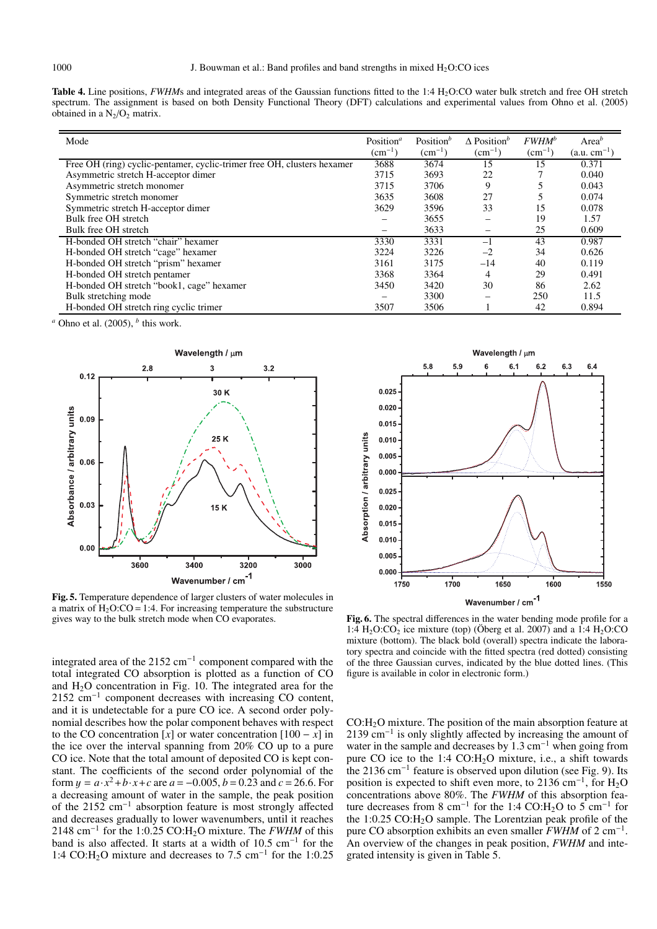**Table 4.** Line positions, *FWHM*s and integrated areas of the Gaussian functions fitted to the 1:4 H<sub>2</sub>O:CO water bulk stretch and free OH stretch spectrum. The assignment is based on both Density Functional Theory (DFT) calculations and experimental values from Ohno et al. (2005) obtained in a  $N_2/O_2$  matrix.

| Mode                                                                    | Position <sup><math>a</math></sup><br>$\rm (cm^{-1})$ | Position $b$<br>$(cm^{-1})$ | $\Lambda$ Position <sup>b</sup><br>$\rm (cm^{-1})$ | $FWHM^b$<br>$(cm^{-1})$ | Area <sup>b</sup><br>$(a.u. cm^{-1})$ |
|-------------------------------------------------------------------------|-------------------------------------------------------|-----------------------------|----------------------------------------------------|-------------------------|---------------------------------------|
| Free OH (ring) cyclic-pentamer, cyclic-trimer free OH, clusters hexamer | 3688                                                  | 3674                        | 15                                                 | 15                      | 0.371                                 |
| Asymmetric stretch H-acceptor dimer                                     | 3715                                                  | 3693                        | 22                                                 |                         | 0.040                                 |
| Asymmetric stretch monomer                                              | 3715                                                  | 3706                        | 9                                                  | 5                       | 0.043                                 |
| Symmetric stretch monomer                                               | 3635                                                  | 3608                        | 27                                                 | 5                       | 0.074                                 |
| Symmetric stretch H-acceptor dimer                                      | 3629                                                  | 3596                        | 33                                                 | 15                      | 0.078                                 |
| Bulk free OH stretch                                                    |                                                       | 3655                        |                                                    | 19                      | 1.57                                  |
| Bulk free OH stretch                                                    |                                                       | 3633                        | -                                                  | 25                      | 0.609                                 |
| H-bonded OH stretch "chair" hexamer                                     | 3330                                                  | 3331                        | $-1$                                               | 43                      | 0.987                                 |
| H-bonded OH stretch "cage" hexamer                                      | 3224                                                  | 3226                        | $-2$                                               | 34                      | 0.626                                 |
| H-bonded OH stretch "prism" hexamer                                     | 3161                                                  | 3175                        | $-14$                                              | 40                      | 0.119                                 |
| H-bonded OH stretch pentamer                                            | 3368                                                  | 3364                        | 4                                                  | 29                      | 0.491                                 |
| H-bonded OH stretch "book1, cage" hexamer                               | 3450                                                  | 3420                        | 30                                                 | 86                      | 2.62                                  |
| Bulk stretching mode                                                    |                                                       | 3300                        | -                                                  | 250                     | 11.5                                  |
| H-bonded OH stretch ring cyclic trimer                                  | 3507                                                  | 3506                        |                                                    | 42                      | 0.894                                 |

*<sup>a</sup>* Ohno et al. (2005), *<sup>b</sup>* this work.



**Fig. 5.** Temperature dependence of larger clusters of water molecules in a matrix of  $H_2O:CO = 1:4$ . For increasing temperature the substructure gives way to the bulk stretch mode when CO evaporates.

integrated area of the 2152 cm<sup>-1</sup> component compared with the total integrated CO absorption is plotted as a function of CO and  $H<sub>2</sub>O$  concentration in Fig. 10. The integrated area for the 2152 cm−<sup>1</sup> component decreases with increasing CO content, and it is undetectable for a pure CO ice. A second order polynomial describes how the polar component behaves with respect to the CO concentration  $[x]$  or water concentration  $[100 - x]$  in the ice over the interval spanning from 20% CO up to a pure CO ice. Note that the total amount of deposited CO is kept constant. The coefficients of the second order polynomial of the form  $y = a \cdot x^2 + b \cdot x + c$  are  $a = -0.005$ ,  $b = 0.23$  and  $c = 26.6$ . For a decreasing amount of water in the sample, the peak position of the 2152 cm−<sup>1</sup> absorption feature is most strongly affected and decreases gradually to lower wavenumbers, until it reaches 2148 cm<sup>-1</sup> for the 1:0.25 CO:H<sub>2</sub>O mixture. The *FWHM* of this band is also affected. It starts at a width of 10.5 cm−<sup>1</sup> for the 1:4 CO:H2O mixture and decreases to 7.5 cm−<sup>1</sup> for the 1:0.25



**Fig. 6.** The spectral differences in the water bending mode profile for a 1:4  $H_2O:CO_2$  ice mixture (top) (Öberg et al. 2007) and a 1:4  $H_2O:CO$ mixture (bottom). The black bold (overall) spectra indicate the laboratory spectra and coincide with the fitted spectra (red dotted) consisting of the three Gaussian curves, indicated by the blue dotted lines. (This figure is available in color in electronic form.)

CO:H2O mixture. The position of the main absorption feature at 2139 cm<sup>-1</sup> is only slightly affected by increasing the amount of water in the sample and decreases by 1.3 cm−<sup>1</sup> when going from pure CO ice to the 1:4 CO:H<sub>2</sub>O mixture, i.e., a shift towards the 2136 cm<sup>-1</sup> feature is observed upon dilution (see Fig. 9). Its position is expected to shift even more, to 2136 cm<sup>-1</sup>, for H<sub>2</sub>O concentrations above 80%. The *FWHM* of this absorption feature decreases from 8 cm<sup>-1</sup> for the 1:4 CO:H<sub>2</sub>O to 5 cm<sup>-1</sup> for the 1:0.25 CO:H2O sample. The Lorentzian peak profile of the pure CO absorption exhibits an even smaller *FWHM* of 2 cm−1. An overview of the changes in peak position, *FWHM* and integrated intensity is given in Table 5.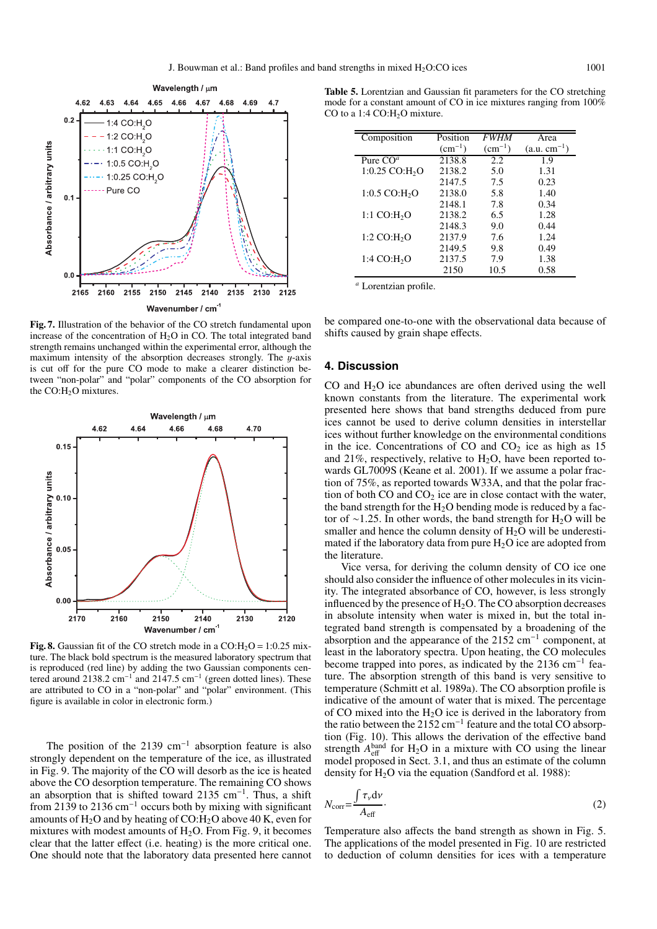

**Fig. 7.** Illustration of the behavior of the CO stretch fundamental upon increase of the concentration of  $H_2O$  in CO. The total integrated band strength remains unchanged within the experimental error, although the maximum intensity of the absorption decreases strongly. The  $y$ -axis is cut off for the pure CO mode to make a clearer distinction between "non-polar" and "polar" components of the CO absorption for the  $CO:H<sub>2</sub>O$  mixtures.



**Fig. 8.** Gaussian fit of the CO stretch mode in a  $CO:H_2O = 1:0.25$  mixture. The black bold spectrum is the measured laboratory spectrum that is reproduced (red line) by adding the two Gaussian components centered around 2138.2 cm−<sup>1</sup> and 2147.5 cm−<sup>1</sup> (green dotted lines). These are attributed to CO in a "non-polar" and "polar" environment. (This figure is available in color in electronic form.)

The position of the 2139 cm<sup>-1</sup> absorption feature is also strongly dependent on the temperature of the ice, as illustrated in Fig. 9. The majority of the CO will desorb as the ice is heated above the CO desorption temperature. The remaining CO shows an absorption that is shifted toward 2135 cm−1. Thus, a shift from 2139 to 2136 cm<sup>-1</sup> occurs both by mixing with significant amounts of  $H_2O$  and by heating of CO: $H_2O$  above 40 K, even for mixtures with modest amounts of  $H_2O$ . From Fig. 9, it becomes clear that the latter effect (i.e. heating) is the more critical one. One should note that the laboratory data presented here cannot

**Table 5.** Lorentzian and Gaussian fit parameters for the CO stretching mode for a constant amount of CO in ice mixtures ranging from 100% CO to a 1:4 CO: $H<sub>2</sub>$ O mixture.

| Composition                  | Position    | <b>FWHM</b> | Area             |
|------------------------------|-------------|-------------|------------------|
|                              | $(cm^{-1})$ | $(cm^{-1})$ | $(a.u. cm^{-1})$ |
| Pure $COa$                   | 2138.8      | 2.2.        | 1.9              |
| $1:0.25$ CO:H <sub>2</sub> O | 2138.2      | 5.0         | 1.31             |
|                              | 2147.5      | 7.5         | 0.23             |
| $1:0.5$ CO:H <sub>2</sub> O  | 2138.0      | 5.8         | 1.40             |
|                              | 2148.1      | 7.8         | 0.34             |
| 1:1 CO:H <sub>2</sub> O      | 2138.2      | 6.5         | 1.28             |
|                              | 2148.3      | 9.0         | 0.44             |
| 1:2 CO:H <sub>2</sub> O      | 2137.9      | 7.6         | 1.24             |
|                              | 2149.5      | 9.8         | 0.49             |
| 1:4 CO:H <sub>2</sub> O      | 2137.5      | 7.9         | 1.38             |
|                              | 2150        | 10.5        | 0.58             |

*<sup>a</sup>* Lorentzian profile.

be compared one-to-one with the observational data because of shifts caused by grain shape effects.

## **4. Discussion**

CO and  $H_2O$  ice abundances are often derived using the well known constants from the literature. The experimental work presented here shows that band strengths deduced from pure ices cannot be used to derive column densities in interstellar ices without further knowledge on the environmental conditions in the ice. Concentrations of CO and  $CO<sub>2</sub>$  ice as high as 15 and 21%, respectively, relative to  $H_2O$ , have been reported towards GL7009S (Keane et al. 2001). If we assume a polar fraction of 75%, as reported towards W33A, and that the polar fraction of both  $CO$  and  $CO<sub>2</sub>$  ice are in close contact with the water, the band strength for the  $H_2O$  bending mode is reduced by a factor of ∼1.25. In other words, the band strength for H<sub>2</sub>O will be smaller and hence the column density of  $H_2O$  will be underestimated if the laboratory data from pure  $H_2O$  ice are adopted from the literature.

Vice versa, for deriving the column density of CO ice one should also consider the influence of other molecules in its vicinity. The integrated absorbance of CO, however, is less strongly influenced by the presence of  $H_2O$ . The CO absorption decreases in absolute intensity when water is mixed in, but the total integrated band strength is compensated by a broadening of the absorption and the appearance of the 2152 cm−<sup>1</sup> component, at least in the laboratory spectra. Upon heating, the CO molecules become trapped into pores, as indicated by the 2136 cm−<sup>1</sup> feature. The absorption strength of this band is very sensitive to temperature (Schmitt et al. 1989a). The CO absorption profile is indicative of the amount of water that is mixed. The percentage of CO mixed into the  $H_2O$  ice is derived in the laboratory from the ratio between the 2152 cm−<sup>1</sup> feature and the total CO absorption (Fig. 10). This allows the derivation of the effective band strength  $A_{\text{eff}}^{\text{band}}$  for H<sub>2</sub>O in a mixture with CO using the linear model proposed in Sect. 3.1, and thus an estimate of the column density for  $H_2O$  via the equation (Sandford et al. 1988):

$$
N_{\text{corr}} = \frac{\int \tau_{\nu} \, \mathrm{d}\nu}{A_{\text{eff}}}.
$$

Temperature also affects the band strength as shown in Fig. 5. The applications of the model presented in Fig. 10 are restricted to deduction of column densities for ices with a temperature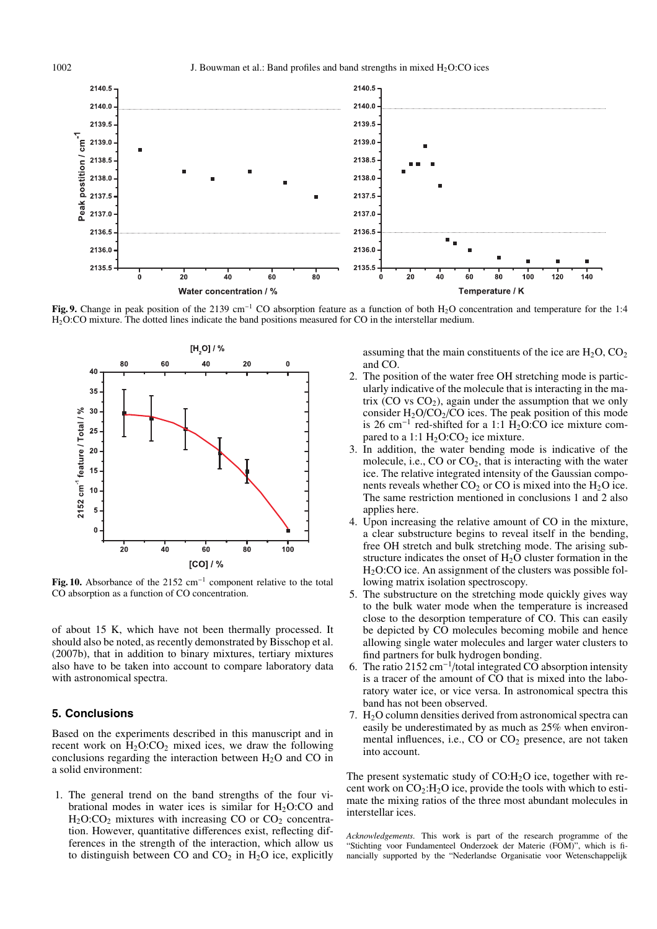

**Fig. 9.** Change in peak position of the 2139 cm<sup>-1</sup> CO absorption feature as a function of both H<sub>2</sub>O concentration and temperature for the 1:4 H2O:CO mixture. The dotted lines indicate the band positions measured for CO in the interstellar medium.



**Fig. 10.** Absorbance of the 2152 cm−<sup>1</sup> component relative to the total CO absorption as a function of CO concentration.

of about 15 K, which have not been thermally processed. It should also be noted, as recently demonstrated by Bisschop et al. (2007b), that in addition to binary mixtures, tertiary mixtures also have to be taken into account to compare laboratory data with astronomical spectra.

## **5. Conclusions**

Based on the experiments described in this manuscript and in recent work on  $H_2O:CO_2$  mixed ices, we draw the following conclusions regarding the interaction between  $H_2O$  and  $CO$  in a solid environment:

1. The general trend on the band strengths of the four vibrational modes in water ices is similar for  $H_2O:CO$  and  $H<sub>2</sub>O:CO<sub>2</sub>$  mixtures with increasing CO or  $CO<sub>2</sub>$  concentration. However, quantitative differences exist, reflecting differences in the strength of the interaction, which allow us to distinguish between CO and  $CO<sub>2</sub>$  in H<sub>2</sub>O ice, explicitly assuming that the main constituents of the ice are  $H_2O$ ,  $CO_2$ and CO.

- 2. The position of the water free OH stretching mode is particularly indicative of the molecule that is interacting in the matrix  $(CO vs CO<sub>2</sub>)$ , again under the assumption that we only consider  $H_2O/CO_2/CO$  ices. The peak position of this mode is 26 cm<sup>-1</sup> red-shifted for a 1:1  $\hat{H}_2O$ :CO ice mixture compared to a 1:1  $H_2O:CO_2$  ice mixture.
- 3. In addition, the water bending mode is indicative of the molecule, i.e.,  $CO$  or  $CO<sub>2</sub>$ , that is interacting with the water ice. The relative integrated intensity of the Gaussian components reveals whether  $CO_2$  or  $CO$  is mixed into the  $H_2O$  ice. The same restriction mentioned in conclusions 1 and 2 also applies here.
- 4. Upon increasing the relative amount of CO in the mixture, a clear substructure begins to reveal itself in the bending, free OH stretch and bulk stretching mode. The arising substructure indicates the onset of  $H_2O$  cluster formation in the  $H<sub>2</sub>O:CO$  ice. An assignment of the clusters was possible following matrix isolation spectroscopy.
- 5. The substructure on the stretching mode quickly gives way to the bulk water mode when the temperature is increased close to the desorption temperature of CO. This can easily be depicted by CO molecules becoming mobile and hence allowing single water molecules and larger water clusters to find partners for bulk hydrogen bonding.
- 6. The ratio 2152 cm−<sup>1</sup>/total integrated CO absorption intensity is a tracer of the amount of CO that is mixed into the laboratory water ice, or vice versa. In astronomical spectra this band has not been observed.
- 7.  $H_2O$  column densities derived from astronomical spectra can easily be underestimated by as much as 25% when environmental influences, i.e.,  $CO$  or  $CO<sub>2</sub>$  presence, are not taken into account.

The present systematic study of  $CO:H<sub>2</sub>O$  ice, together with recent work on  $CO_2$ :H<sub>2</sub>O ice, provide the tools with which to estimate the mixing ratios of the three most abundant molecules in interstellar ices.

*Acknowledgements.* This work is part of the research programme of the "Stichting voor Fundamenteel Onderzoek der Materie (FOM)", which is financially supported by the "Nederlandse Organisatie voor Wetenschappelijk